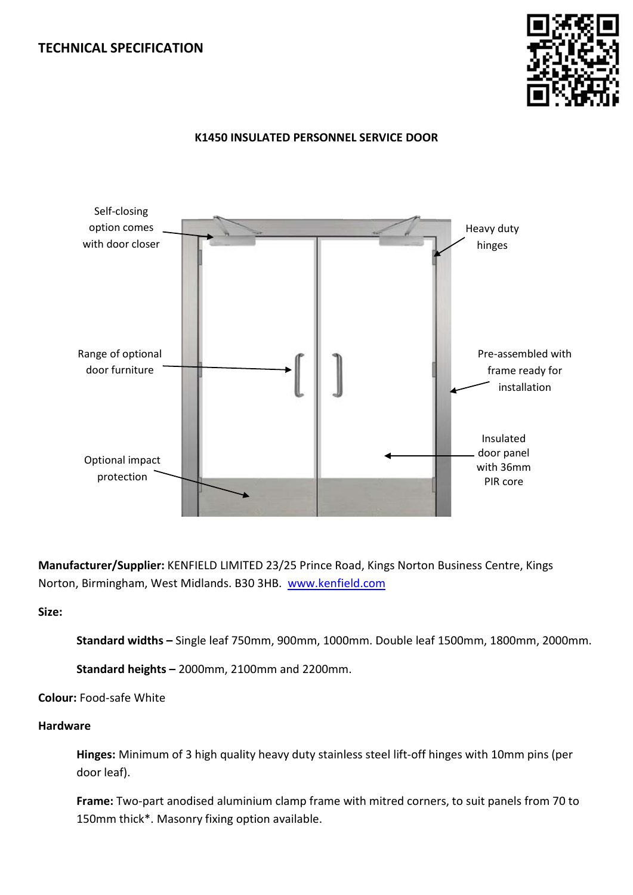# **TECHNICAL SPECIFICATION**



### **K1450 INSULATED PERSONNEL SERVICE DOOR**



**Manufacturer/Supplier:** KENFIELD LIMITED 23/25 Prince Road, Kings Norton Business Centre, Kings Norton, Birmingham, West Midlands. B30 3HB. [www.kenfield.com](http://www.kenfield.com/)

# **Size:**

**Standard widths –** Single leaf 750mm, 900mm, 1000mm. Double leaf 1500mm, 1800mm, 2000mm.

**Standard heights –** 2000mm, 2100mm and 2200mm.

**Colour:** Food-safe White

# **Hardware**

**Hinges:** Minimum of 3 high quality heavy duty stainless steel lift-off hinges with 10mm pins (per door leaf).

**Frame:** Two-part anodised aluminium clamp frame with mitred corners, to suit panels from 70 to 150mm thick\*. Masonry fixing option available.